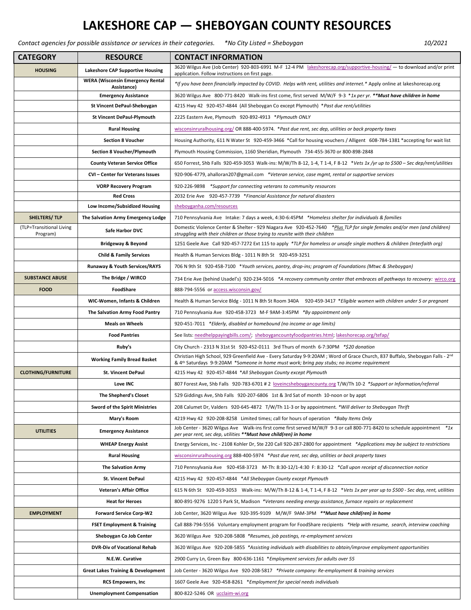## **LAKESHORE CAP — SHEBOYGAN COUNTY RESOURCES**

*Contact agencies for possible assistance or services in their categories. \*No City Listed = Sheboygan 10/2021*

| <b>CATEGORY</b>                      | <b>RESOURCE</b>                                        | <b>CONTACT INFORMATION</b>                                                                                                                                                                                                                           |
|--------------------------------------|--------------------------------------------------------|------------------------------------------------------------------------------------------------------------------------------------------------------------------------------------------------------------------------------------------------------|
| <b>HOUSING</b>                       | <b>Lakeshore CAP Supportive Housing</b>                | 3620 Wilgus Ave (Job Center) 920-803-6991 M-F 12-4 PM lakeshorecap.org/supportive-housing/ - to download and/or print<br>application. Follow instructions on first page.                                                                             |
|                                      | <b>WERA (Wisconsin Emergency Rental</b><br>Assistance) | *If you have been financially impacted by COVID. Helps with rent, utilities and internet.* Apply online at lakeshorecap.org                                                                                                                          |
|                                      | <b>Emergency Assistance</b>                            | 3620 Wilgus Ave 800-771-8420 Walk-ins first come, first served M/W/F 9-3 *1x per yr. **Must have children in home                                                                                                                                    |
|                                      | St Vincent DePaul-Sheboygan                            | 4215 Hwy 42 920-457-4844 (All Sheboygan Co except Plymouth) *Past due rent/utilities                                                                                                                                                                 |
|                                      | <b>St Vincent DePaul-Plymouth</b>                      | 2225 Eastern Ave, Plymouth 920-892-4913 *Plymouth ONLY                                                                                                                                                                                               |
|                                      | <b>Rural Housing</b>                                   | wisconsinruralhousing.org/ OR 888-400-5974. *Past due rent, sec dep, utilities or back property taxes                                                                                                                                                |
|                                      | <b>Section 8 Voucher</b>                               | Housing Authority, 611 N Water St 920-459-3466 *Call for housing vouchers / Alligent 608-784-1381 *accepting for wait list                                                                                                                           |
|                                      | <b>Section 8 Voucher/Plymouth</b>                      | Plymouth Housing Commission, 1160 Sheridian, Plymouth 734-455-3670 or 800-898-2848                                                                                                                                                                   |
|                                      | <b>County Veteran Service Office</b>                   | 650 Forrest, Shb Falls 920-459-3053 Walk-ins: M/W/Th 8-12, 1-4, T 1-4, F 8-12 *Vets 1x/yr up to \$500 – Sec dep/rent/utilities                                                                                                                       |
|                                      | CVI - Center for Veterans Issues                       | 920-906-4779, ahalloran207@gmail.com *Veteran service, case mgmt, rental or supportive services                                                                                                                                                      |
|                                      | <b>VORP Recovery Program</b>                           | 920-226-9898 *Support for connecting veterans to community resources                                                                                                                                                                                 |
|                                      | <b>Red Cross</b>                                       | 2032 Erie Ave 920-457-7739 *Financial Assistance for natural disasters                                                                                                                                                                               |
|                                      | Low Income/Subsidized Housing                          | sheboyganha.com/resources                                                                                                                                                                                                                            |
| SHELTERS/TLP                         | The Salvation Army Emergency Lodge                     | 710 Pennsylvania Ave Intake: 7 days a week, 4:30-6:45PM *Homeless shelter for individuals & families                                                                                                                                                 |
| (TLP=Transitional Living<br>Program) | Safe Harbor DVC                                        | Domestic Violence Center & Shelter - 929 Niagara Ave 920-452-7640 *Plus TLP for single females and/or men (and children)<br>struggling with their children or those trying to reunite with their children                                            |
|                                      | <b>Bridgeway &amp; Beyond</b>                          | 1251 Geele Ave Call 920-457-7272 Ext 115 to apply *TLP for homeless or unsafe single mothers & children (Interfaith org)                                                                                                                             |
|                                      | <b>Child &amp; Family Services</b>                     | Health & Human Services Bldg - 1011 N 8th St 920-459-3251                                                                                                                                                                                            |
|                                      | <b>Runaway &amp; Youth Services/RAYS</b>               | 706 N 9th St 920-458-7100 *Youth services, pantry, drop-ins; program of Foundations (Mtwc & Sheboygan)                                                                                                                                               |
| <b>SUBSTANCE ABUSE</b>               | The Bridge / WIRCO                                     | 734 Erie Ave (behind Usadel's) 920-234-5016 *A recovery community center that embraces all pathways to recovery: wirco.org                                                                                                                           |
| <b>FOOD</b>                          | FoodShare                                              | 888-794-5556 or access wisconsin.gov/                                                                                                                                                                                                                |
|                                      | WIC-Women, Infants & Children                          | Health & Human Service Bldg - 1011 N 8th St Room 340A 920-459-3417 *Eligible women with children under 5 or pregnant                                                                                                                                 |
|                                      | The Salvation Army Food Pantry                         | 710 Pennsylvania Ave 920-458-3723 M-F 9AM-3:45PM *By appointment only                                                                                                                                                                                |
|                                      | <b>Meals on Wheels</b>                                 | 920-451-7011 *Elderly, disabled or homebound (no income or age limits)                                                                                                                                                                               |
|                                      | <b>Food Pantries</b>                                   | See lists: needhelppayingbills.com/; sheboygancountyfoodpantries.html; lakeshorecap.org/tefap/                                                                                                                                                       |
|                                      | Ruby's                                                 | City Church - 2313 N 31st St 920-452-0111 3rd Thurs of month 6-7:30PM *\$20 donation                                                                                                                                                                 |
|                                      | <b>Working Family Bread Basket</b>                     | Christian High School, 929 Greenfield Ave - Every Saturday 9-9:20AM; Word of Grace Church, 837 Buffalo, Sheboygan Falls - 2 <sup>nd</sup><br>& 4 <sup>th</sup> Saturdays 9-9:20AM *Someone in home must work; bring pay stubs; no income requirement |
| <b>CLOTHING/FURNITURE</b>            | <b>St. Vincent DePaul</b>                              | 4215 Hwy 42 920-457-4844 *All Sheboygan County except Plymouth                                                                                                                                                                                       |
|                                      | Love INC                                               | 807 Forest Ave, Shb Falls 920-783-6701 # 2 loveincsheboygancounty.org T/W/Th 10-2 *Support or Information/referral                                                                                                                                   |
|                                      | The Shepherd's Closet                                  | 529 Giddings Ave, Shb Falls 920-207-6806 1st & 3rd Sat of month 10-noon or by appt                                                                                                                                                                   |
|                                      | <b>Sword of the Spirit Ministries</b>                  | 208 Calumet Dr, Valders 920-645-4872 T/W/Th 11-3 or by appointment. *Will deliver to Sheboygan Thrift                                                                                                                                                |
|                                      | Mary's Room                                            | 4219 Hwy 42 920-208-8258 Limited times; call for hours of operation *Baby Items Only                                                                                                                                                                 |
| <b>UTILITIES</b>                     | <b>Emergency Assistance</b>                            | Job Center - 3620 Wilgus Ave Walk-ins first come first served M/W/F 9-3 or call 800-771-8420 to schedule appointment *1x<br>per year rent, sec dep, utilities **Must have child(ren) in home                                                         |
|                                      | <b>WHEAP Energy Assist</b>                             | Energy Services, Inc - 2108 Kohler Dr, Ste 220 Call 920-287-2800 for appointment *Applications may be subject to restrictions                                                                                                                        |
|                                      | <b>Rural Housing</b>                                   | wisconsinruralhousing.org 888-400-5974 *Past due rent, sec dep, utilities or back property taxes                                                                                                                                                     |
|                                      | <b>The Salvation Army</b>                              | 710 Pennsylvania Ave 920-458-3723 M-Th: 8:30-12/1-4:30 F: 8:30-12 *Call upon receipt of disconnection notice                                                                                                                                         |
|                                      | St. Vincent DePaul                                     | 4215 Hwy 42 920-457-4844 *All Sheboygan County except Plymouth                                                                                                                                                                                       |
|                                      | Veteran's Affair Office                                | 615 N 6th St 920-459-3053 Walk-ins: M/W/Th 8-12 & 1-4, T 1-4, F 8-12 *Vets 1x per year up to \$500 - Sec dep, rent, utilities                                                                                                                        |
|                                      | <b>Heat for Heroes</b>                                 | 800-891-9276 1220 S Park St, Madison *Veterans needing energy assistance, furnace repairs or replacement                                                                                                                                             |
| <b>EMPLOYMENT</b>                    | <b>Forward Service Corp-W2</b>                         | Job Center, 3620 Wilgus Ave 920-395-9109 M/W/F 9AM-3PM **Must have child(ren) in home                                                                                                                                                                |
|                                      | <b>FSET Employment &amp; Training</b>                  | Call 888-794-5556 Voluntary employment program for FoodShare recipients *Help with resume, search, interview coaching                                                                                                                                |
|                                      | Sheboygan Co Job Center                                | 3620 Wilgus Ave 920-208-5808 *Resumes, job postings, re-employment services                                                                                                                                                                          |
|                                      | <b>DVR-Div of Vocational Rehab</b>                     | 3620 Wilgus Ave 920-208-5855 *Assisting individuals with disabilities to obtain/improve employment opportunities                                                                                                                                     |
|                                      | N.E.W. Curative                                        | 2900 Curry Ln, Green Bay 800-636-1161 *Employment services for adults over 55                                                                                                                                                                        |
|                                      | <b>Great Lakes Training &amp; Development</b>          | Job Center - 3620 Wilgus Ave 920-208-5817 *Private company: Re-employment & training services                                                                                                                                                        |
|                                      | <b>RCS Empowers, Inc.</b>                              | 1607 Geele Ave 920-458-8261 *Employment for special needs individuals                                                                                                                                                                                |
|                                      | <b>Unemployment Compensation</b>                       | 800-822-5246 OR ucclaim-wi.org                                                                                                                                                                                                                       |
|                                      |                                                        |                                                                                                                                                                                                                                                      |